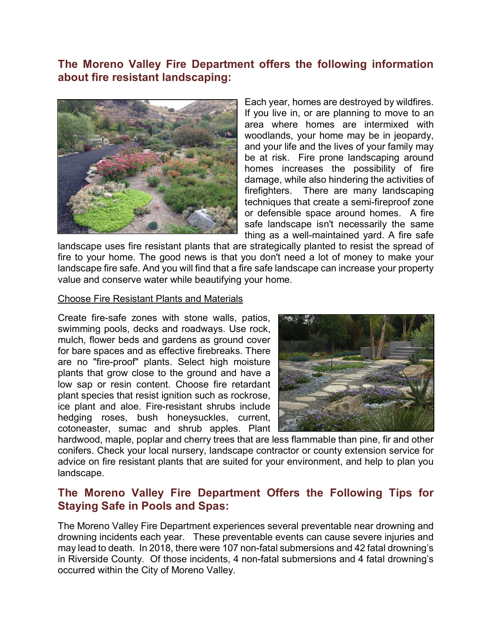# **The Moreno Valley Fire Department offers the following information about fire resistant landscaping:**



Each year, homes are destroyed by wildfires. If you live in, or are planning to move to an area where homes are intermixed with woodlands, your home may be in jeopardy, and your life and the lives of your family may be at risk. Fire prone landscaping around homes increases the possibility of fire damage, while also hindering the activities of firefighters. There are many landscaping techniques that create a semi-fireproof zone or defensible space around homes. A fire safe landscape isn't necessarily the same thing as a well-maintained yard. A fire safe

landscape uses fire resistant plants that are strategically planted to resist the spread of fire to your home. The good news is that you don't need a lot of money to make your landscape fire safe. And you will find that a fire safe landscape can increase your property value and conserve water while beautifying your home.

#### Choose Fire Resistant Plants and Materials

Create fire-safe zones with stone walls, patios, swimming pools, decks and roadways. Use rock, mulch, flower beds and gardens as ground cover for bare spaces and as effective firebreaks. There are no "fire-proof" plants. Select high moisture plants that grow close to the ground and have a low sap or resin content. Choose fire retardant plant species that resist ignition such as rockrose, ice plant and aloe. Fire-resistant shrubs include hedging roses, bush honeysuckles, current, cotoneaster, sumac and shrub apples. Plant



hardwood, maple, poplar and cherry trees that are less flammable than pine, fir and other conifers. Check your local nursery, landscape contractor or county extension service for advice on fire resistant plants that are suited for your environment, and help to plan you landscape.

## **The Moreno Valley Fire Department Offers the Following Tips for Staying Safe in Pools and Spas:**

The Moreno Valley Fire Department experiences several preventable near drowning and drowning incidents each year. These preventable events can cause severe injuries and may lead to death. In 2018, there were 107 non-fatal submersions and 42 fatal drowning's in Riverside County. Of those incidents, 4 non-fatal submersions and 4 fatal drowning's occurred within the City of Moreno Valley.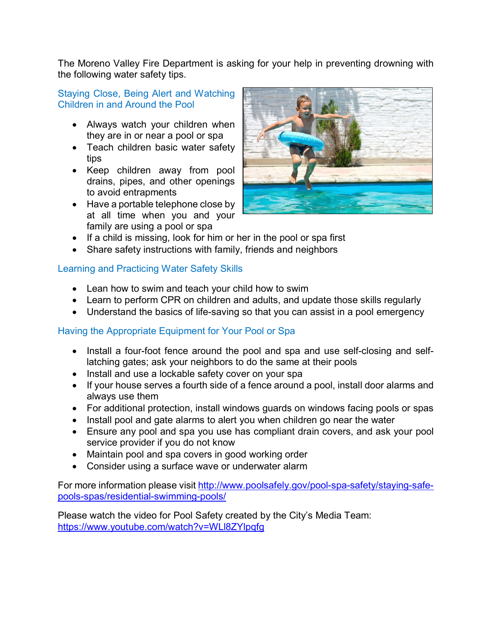The Moreno Valley Fire Department is asking for your help in preventing drowning with the following water safety tips.

### Staying Close, Being Alert and Watching Children in and Around the Pool

- Always watch your children when they are in or near a pool or spa
- Teach children basic water safety tips
- Keep children away from pool drains, pipes, and other openings to avoid entrapments
- Have a portable telephone close by at all time when you and your family are using a pool or spa



- If a child is missing, look for him or her in the pool or spa first
- Share safety instructions with family, friends and neighbors

## Learning and Practicing Water Safety Skills

- Lean how to swim and teach your child how to swim
- Learn to perform CPR on children and adults, and update those skills regularly
- Understand the basics of life-saving so that you can assist in a pool emergency

## Having the Appropriate Equipment for Your Pool or Spa

- Install a four-foot fence around the pool and spa and use self-closing and selflatching gates; ask your neighbors to do the same at their pools
- Install and use a lockable safety cover on your spa
- If your house serves a fourth side of a fence around a pool, install door alarms and always use them
- For additional protection, install windows guards on windows facing pools or spas
- Install pool and gate alarms to alert you when children go near the water
- Ensure any pool and spa you use has compliant drain covers, and ask your pool service provider if you do not know
- Maintain pool and spa covers in good working order
- Consider using a surface wave or underwater alarm

For more information please visit [http://www.poolsafely.gov/pool-spa-safety/staying-safe](http://www.poolsafely.gov/pool-spa-safety/staying-safe-pools-spas/residential-swimming-pools/)[pools-spas/residential-swimming-pools/](http://www.poolsafely.gov/pool-spa-safety/staying-safe-pools-spas/residential-swimming-pools/)

Please watch the video for Pool Safety created by the City's Media Team: <https://www.youtube.com/watch?v=WLl8ZYlpqfg>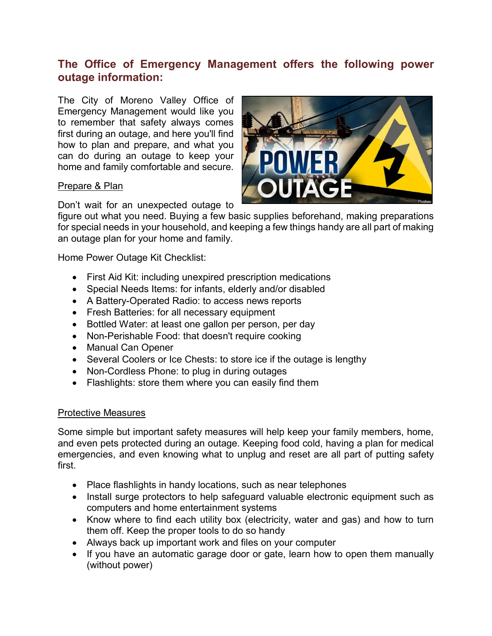# **The Office of Emergency Management offers the following power outage information:**

The City of Moreno Valley Office of Emergency Management would like you to remember that safety always comes first during an outage, and here you'll find how to plan and prepare, and what you can do during an outage to keep your home and family comfortable and secure.

### Prepare & Plan



Don't wait for an unexpected outage to

figure out what you need. Buying a few basic supplies beforehand, making preparations for special needs in your household, and keeping a few things handy are all part of making an outage plan for your home and family.

Home Power Outage Kit Checklist:

- First Aid Kit: including unexpired prescription medications
- Special Needs Items: for infants, elderly and/or disabled
- A Battery-Operated Radio: to access news reports
- Fresh Batteries: for all necessary equipment
- Bottled Water: at least one gallon per person, per day
- Non-Perishable Food: that doesn't require cooking
- Manual Can Opener
- Several Coolers or Ice Chests: to store ice if the outage is lengthy
- Non-Cordless Phone: to plug in during outages
- Flashlights: store them where you can easily find them

### Protective Measures

Some simple but important safety measures will help keep your family members, home, and even pets protected during an outage. Keeping food cold, having a plan for medical emergencies, and even knowing what to unplug and reset are all part of putting safety first.

- Place flashlights in handy locations, such as near telephones
- Install surge protectors to help safeguard valuable electronic equipment such as computers and home entertainment systems
- Know where to find each utility box (electricity, water and gas) and how to turn them off. Keep the proper tools to do so handy
- Always back up important work and files on your computer
- If you have an automatic garage door or gate, learn how to open them manually (without power)